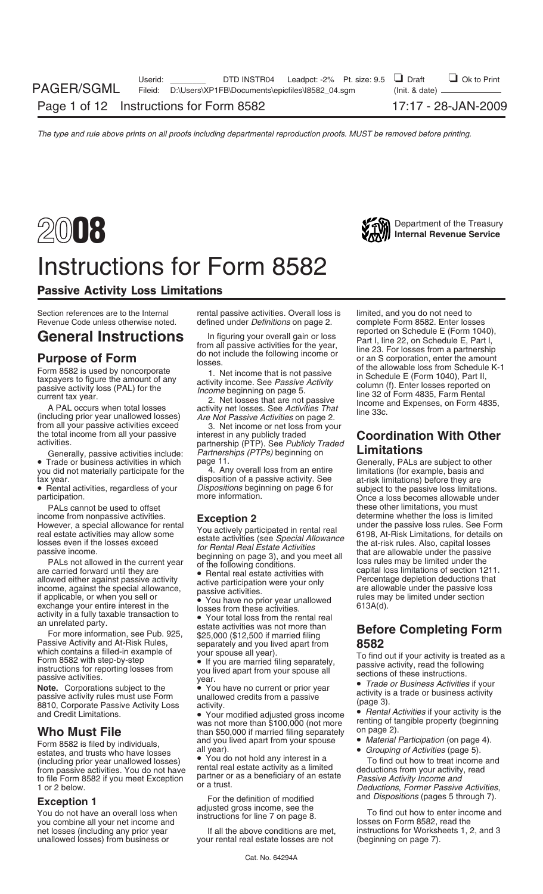

### Instructions for Form 8582

### Passive Activity Loss Limitations

PALs cannot be used to offset the these other limitations, you must help these other limitations, you must

Passive Activity and At-Risk Rules,<br>
which contains a filled-in example of<br>
Form 8582 with step-by-step<br>
instructions for reporting losses from<br>
passive activity is treated as a<br>
instructions for reporting losses from<br>
pa

Form 8582 is filed by individuals, and you lived apart from your spouse • *Material Participation* (on page 4).<br>
estates, and trusts who have losses all year).<br>
(including prior year unallowed losses) • You do not hold any (including prior year unallowed losses) • You do not hold any interest in a<br>Trom passive activities. You do not have rental real estate activity as a limited from passive activities. You do not have rental real estate activity as a limited deductions from your activity, read<br>to file Form 8582 if you meet Exception partner or as a beneficiary of an estate *Passive Activity Incom* to file Form 8582 if you meet Exception partner or as a beneficiary of an estate *Passive Activity Income and* or a trust. 1 or 2 below. *Deductions*, *Former Passive Activities*,

Section references are to the Internal rental passive activities. Overall loss is limited, and you do not need to<br>Revenue Code unless otherwise noted. defined under *Definitions* on page 2. complete Form 8582. Enter losses

The total income from all your passive active interest in any publicly traded<br>
activities include: *Partnerships (PTPs)* beginning on **Limitations**<br>
• Trade or business activities in which page 11. Generally, PALs are subj

you did not materially participate for the 4. Any overall loss from an entire tax year.

an unrelated party.<br>For more information, see Pub. 925, \$25,000 (\$12,500 if married filing<br>Passive Activity and At-Risk Rules, separately and you lived apart from

was not more than \$100,000 (not more renting of tangible property (beginning the result) was not to property (b<br>than \$50,000 if married filing senarately conpage 2). **Who Must File** than \$50,000 if married filing separately<br>Form 8582 is filed by individuals and you lived apart from your spouse

**Exception 1** For the definition of modified and *Dispositions* (pages 5 through 7).<br>You do not have an overall loss when adjusted gross income, see the To find out how to enter income and<br>you combine all your net income a

your rental real estate losses are not

defined under *Definitions* on page 2. complete Form 8582. Enter losses<br>Le finitions on page 2. complete Form 8582. Enter losses **General Instructions** In figuring your overall gain or loss reported on Schedule E (Form 1040),<br> **Purpose of Form**<br> **Purpose of Form**<br> **Purpose of Form**<br> **Purpose of Form**<br> **Purpose of Form**<br> **Purpose of Form**<br> **Expansive** 

tax year. The control of a passive activity. See the at-risk limitations) before they are<br>● Rental activities, regardless of your *Dispositions* beginning on page 6 for subject to the passive loss limitations.<br>participati income from nonpassive activities.<br>
However, a special allowance for rental <br>  $\frac{1}{2}$ <br>  $\frac{1}{2}$ <br>  $\frac{1}{2}$ <br>  $\frac{1}{2}$ <br>  $\frac{1}{2}$ <br>  $\frac{1}{2}$ <br>  $\frac{1}{2}$ <br>  $\frac{1}{2}$ <br>  $\frac{1}{2}$ <br>  $\frac{1}{2}$ <br>  $\frac{1}{2}$ <br>  $\frac{1}{2}$ <br>  $\frac{1}{2}$ <br> However, a special allowance for rental<br>
least eactivities was the distributed in rental real<br>
least eactivities (see *Special Allowance*<br>
least eactivities (see *Special Allowance*<br>
least eactivities the distributions, fo

# **Before Completing Form**

and Credit Limitations.<br>and Credit Limitations. • • *Your modified adjusted gross income* • *Rental Activities* if your activity is the<br>was not more than \$100,000 (not more renting of tangible property (beginning

- 
- 

net losses (including any prior year If all the above conditions are met, instructions for Worksheets 1, 2, and 3<br>unallowed losses) from business or your rental real estate losses are not (beginning on page 7).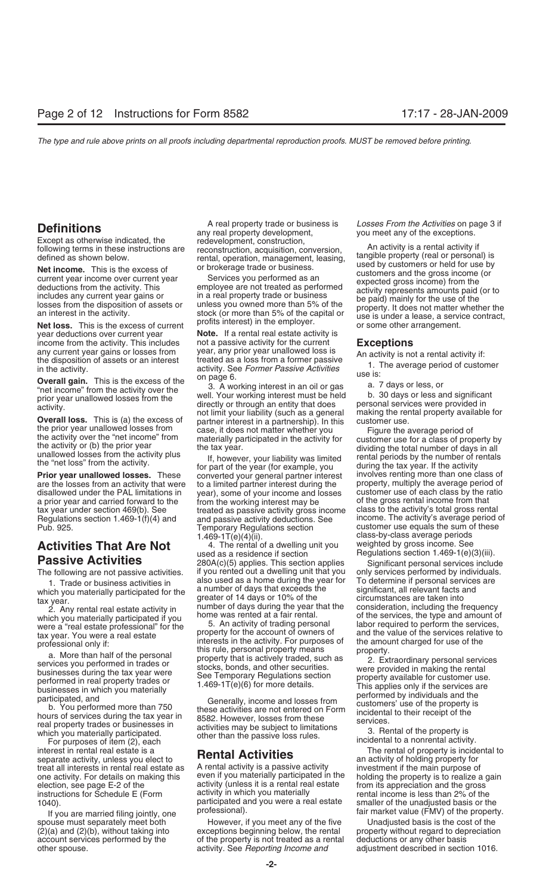year deductions over current year **Note.** If a rental real estate activity is income from the activity. This includes not a passive activity for the current

a prior year and carried forward to the other of the working interest may be tax year under section 469(b). See

## **Activities That Are Not** 4. The rental of a dwelling **Activities That Are Not** used as a residence if section

which you materially participated if you home was rented at a fair rental. of the services, the type and amount of were a "real estate professional" for the 5. An activity of trading personal labor required to perform the

For purposes of item (2), each<br>interest in rental real estate is a<br>separate activity, unless you elect to<br>treat all interests in rental real estate as<br>A rental activity is a passive activity<br>investment if the main purpose treat all interests in rental real estate as A rental activity is a passive activity investment if the main purpose of one activity. For details on making this even if you materially participated in the holding the propert one activity. For details on making this even if you materially participated in the election, see page E-2 of the activity (unless it is a rental real estate instructions for Schedule E (Form activity in which you materially rental income is less than 2% of the<br>participated and you were a real estate smaller of the unadjusted basis or the

income from the activity. This includes<br>
any current year gains or losses from year, any prior year unallowed loss is<br>
the disposition of assets or an interest<br>
in the activity. See *Former Passive Activities*<br> **Overall ga** 

Frior year unallowed losses. These converted your general partner interest involves renting more than one class of<br>are the losses from an activity that were to a limited partner interest during the property, multiply the a are the losses from an activity that were to a limited partner interest during the property, multiply the average period of disallowed under the PAL limitations in year), some of your income and losses customer use of each year), some of your income and losses customer use of each class by the ratio<br>from the working interest may be so file gross rental income from that tax year under section 469(b). See treated as passive activity gross income class to the activity's total gross rental treated as passive activity gross income. The activity's average period expanding Regulations section 1 Regulations section 1.469-1(f)(4) and and passive activity deductions. See income. The activity's average period of  $\frac{1.469 \cdot 1}{1.600 \cdot 1}$  Temporary Requlations section customer use equals the sum of these Temporary Regulations section customer use equals the sum of these  $1.469-1T(e)(4)(ii)$ .

**Passive Activities** 280A(c)(5) applies. This section applies Significant personal services include The following are not passive activities. if you rented out a dwelling unit that you only services performed by individuals.<br>1. Trade or business activities in also used as a home during the year for To determine if person 1. Trade or business activities in also used as a home during the year for To determine if personal services are<br>ich vou materially participated for the a number of days that exceeds the significant, all relevant facts and which you materially participated for the a number of days that exceeds the significant, all relevant facts and<br>greater of 14 days or 10% of the circumstances are taken into greater or 14 days or 10% of the circumstances are taken into<br>2. Any rental real estate activity in number of days during the year that the consideration, including the frequency<br>2. Any rental real estate activity in home

activity (unless it is a rental real estate from its appreciation and the gross<br>activity in which you materially entity rental income is less than 2% of the

spouse must separately meet both However, if you meet any of the five Unadjusted basis is the cost of the (2)(a) and (2)(b), without taking into exceptions beginning below, the rental property without regard to depreciatio exceptions beginning below, the rental property without regard to depreciation account services performed by the of the property is not treated as a rental deductions or any other basis other spouse. activity. See *Reporting Income and* adjustment described in section 1016.

**Definitions**<br>
Except as otherwise indicated, the<br>
Except as otherwise indicated, the<br>
redevelopment, construction,<br>
following terms in these instructions are<br>
redevelopment, construction,<br>
following terms in these instruc

the prior year unallowed losses from the activity over the "net income" from the activity over the "net income" from the tax year the activity or (b) the prior year the tax year.<br>
unallowed losses from the activity plus in .69-1T(e)(4)(ii).<br>4. The rental of a dwelling unit you weighted by gross income. See Regulations section  $1.469-1(e)(3)(iii)$ .

were a "real estate professional" for the 5. An activity of trading personal labor required to perform the services,<br>tax year. You were a real estate service to property for the account of owners of and the value of the se

From education and the value of the services relative to the services and the value of the services relative to<br>professional only if:<br>a. More than half of the personal<br>services over the activity. For purposes of the annul

10, participated and you are married filing jointly, one professional). The uncertainty of the unanglusted basis of the property.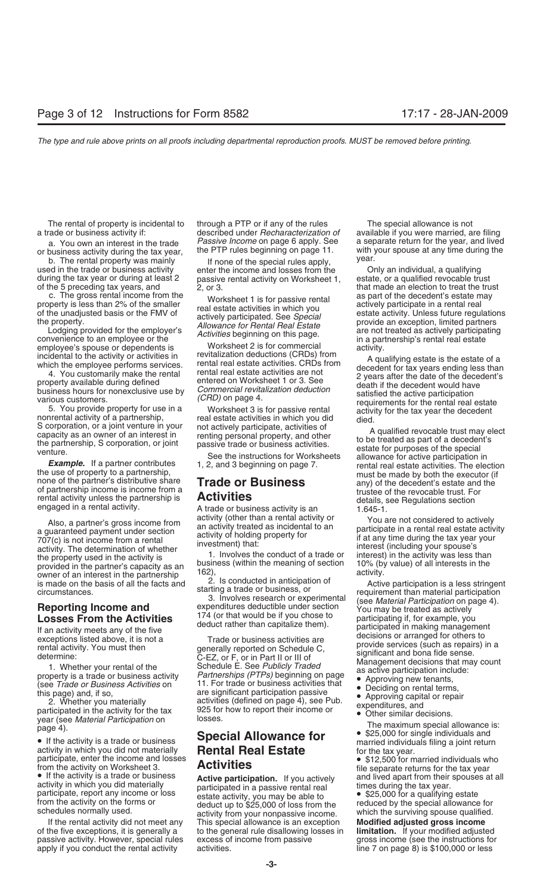during the tax year or during at least 2 passive rental activity on Worksheet 1, of the 5 preceding tax years, and  $\begin{array}{c} 2.0r3. \end{array}$ 

c. The gross rental income from the vorksheet 1 is for passive rental as part of the decedent's estate may<br>property is less than 2% of the smaller real estate activities in which you actively participate in a rental real

example of the convenience to an employee or the convenience to an employee or the convenience of the conventions of the commercial incidental to the activity or activities in revitalization deductions (CRDs) from A qualif

rental activity unless the partnership is **Activities** details, see Regulations section engaged in a rental activity.<br>A trade or business activity is an 1.645-1.

year (see Material Participation on losses.<br>
page 4).<br> **Special Allowance for**  $\bullet$  \$25,000 for single individuals and

From the activity on Worksheet 3.<br>
• If the activity is a trade or business<br>
active participation. If you actively<br>
active participation. If you actively<br>
active participation. If you actively<br>
and lived apart from their s

of the five exceptions, it is generally a to the general rule disallowing losses in **limitation.** If your modified adjusted passive activity. However, special rules excess of income from passive apply if you conduct the rental activity activities. Let us and the 7 on page 8) is \$100,000 or less

The rental of property is incidental to through a PTP or if any of the rules The special allowance is not a. You own an interest in the trade *Passive Income* on page 6 apply. See or business activity during the tax year, the PTP rules beginning on page 11.

b. The rental property was mainly and the special rules apply, wear.<br>If none of the special rules apply, the special rules apply, the restate or a qualifying during the tax year or during at least 2 bassive rental activity

# Page +/.<br>
• If the activity is a trade or business<br>
activity in which you did not materially<br>
participate, enter the income and losses<br> **Activition**<br> **Activition**<br> **Activition**<br> **Activition**<br> **Activition**<br> **Activition**<br> **A**

If the rental activity did not meet any This special allowance is an exception **Modified adjusted gross income**

a trade or business activity if: described under *Recharacterization of* available if you were married, are filing with your spouse at any time during the<br>vear,

that made an election to treat the trust property is less than 2% of the smaller<br>
of the unadjusted basis or the FMV of<br>
the property.<br>
Lodging provided for the employer's<br>
Lodging provided for the employer's<br>
allowance for Rental Real Estate<br>
Allowance for Renta

incidental to the activity or activities in<br>
which the employee performs services. Then the rental real estate activities CRDs) from<br>
which the employee performs services. Then the rental real estate activities creator dec

**Example.** It a partner contributes 1, 2, and 3 beginning on page 7. The election the use of property to a partnership,<br>
the use of property to a partnership,<br>
the executor (if mone of the partner's distributive share<br>
of

Also, a partner's gross income from<br>
an activity forted an actival divity or<br>
an activity treated a sincidental to an<br>
an activity of holding property for<br>
an activity of holding property for<br>
an activity is an activity o

- 
- 
- 
- 
- -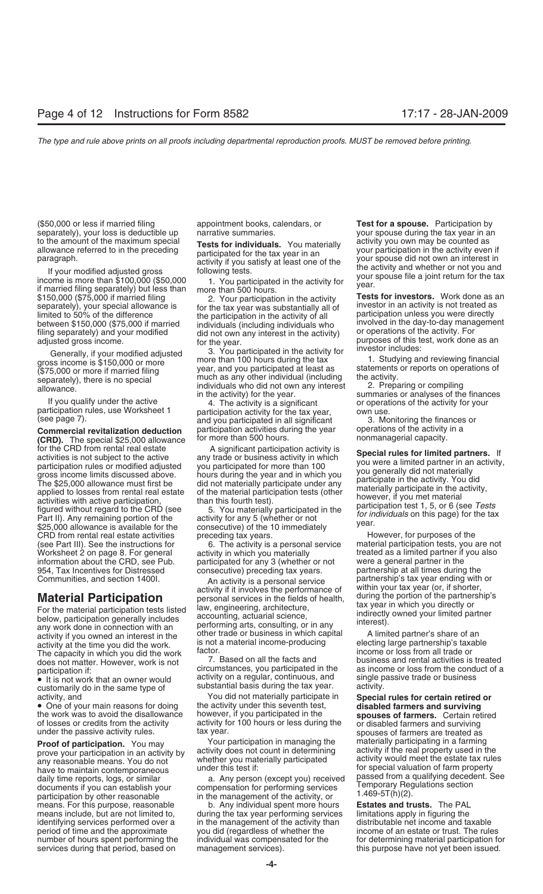(\$50,000 or less if married filing appointment books, calendars, or **Test for a spouse.** Participation by separately), your loss is deductible up narrative summaries. you materially your spouse during the tax year in an to the amount of the maximum special Tests for individuals You materially activity you own may be counted as

**(CRD).** The special \$25,000 allowance than 500 hours.<br>for the CRD from rental real estate **A** significant participation activity is For the CRD from rental real estate<br>activities is not subject to the active<br>activities is not subject to the active<br>gross income limits discussed above. <br>activity in which provided adjusted you participation rules or modif CRD from rental real estate activities preceding tax years. However, for purposes of the (see Part III). See the instructions for  $\,$  6. The activity is a personal service material participation tests, you are not Worksheet 2 on page 8. For general activity in which you materially treated as a limited partner if you also<br>information about the CRD, see Pub. participated for any 3 (whether or not were a general partner in the 954, Tax Incentives for Distressed consecutive) preceding tax years.

any work done in connection with an an performing arts, consulting, or in any<br>activity if you owned an interest in the other trade or business in which capital A limited partner's share of an<br>activity at the time you did t activity at the time you did the work. is not a material income-producing electing large partnership's taxa<br>The capacity in which you did the work factor. The capacity in which you did the work factor.<br>does not matter. However, work is not all the facts and business and rental activities is treated does not matter. However, work is not **7. Based on all the facts and pubblishess** and rental activities is treated<br>participation if

• It is not work that an owner would<br>customarily do in the same type of substantial basis during the tax year. activity.<br>You did not materially participate in **Specia** 

the work was to avoid the disallowance however, if you participated in the **spouses of farmers.** Certain retired of losses or credits from the activity of activity for 100 hours or less during the or disabled farmers and s

**Proof of participation.** You may Your participation in managing the prove your participation in an activity by activity does not count in determining activity if the real property used in the any reasonable means. You do means. For this purpose, reasonable b. Any individual spent more hours **Estates and trusts.** The PAL

participation rules, use Worksheet 1 barticipation activity for the tax year, both use.<br>(see page 7). The finances or and you participated in all significant and 3. Monitoring the finances or<br>**Commercial revitalization ded Commercial revitalization deduction** participation activities during the year operations of the activity commen<br>CRD). The special \$25,000 allowance for more than 500 hours.

participated for any 3 (whether or not were a general partner in the consecutive) preceding tax years.

Communities, and section 1400I. <br>An activity is a personal service partnership's tax year ending with or<br>Authin your tax year (or, if shorter, action of the partnership's **Material Participation**<br>
For the material participation tests listed<br>
below, participation generally includes<br>
any work done in connection with an<br>
any work done in connection with an<br>
during the portion of the partnershi

participation if: circumstances, you participated in the as income or loss from the conduction if:<br>
• It is not work that an owner would activity on a regular, continuous, and single passive trade or business

activity, and You did not materially participate in **Special rules for certain retired or** • One of your main reasons for doing the activity under this seventh test, **disabled farmers and surviving** of losses or credits from the activity activity for 100 hours or less during the or disabled farmers and surviving under the passive activity rules. tax year.

means include, but are not limited to, during the tax year performing services limitations apply in figuring the identifying services performed over a in the management of the activity than distributable net income and taxable<br>period of time and the approximate you did (regardless of whether the income of an estate or trust. The rule services during that period, based on management services). This purpose have not yet been issued.

to the amount of the maximum special<br>allowance referred to in the preceding<br>paragraph.<br>If your modified adjusted gross<br>income is more than \$100,000 (\$50,000<br>if married filing separately) but less than<br>if married filing sep

\$150,000 (\$75,000 if married filing  $\frac{1}{2}$ . Your participation in the activity<br>since is for investors. Work done as an<br>limited to 50% of the difference<br>between \$150,000 (\$75,000 if married and the participation in the

income of an estate or trust. The rules number of hours spent performing the individual was compensated for the for determining material participation for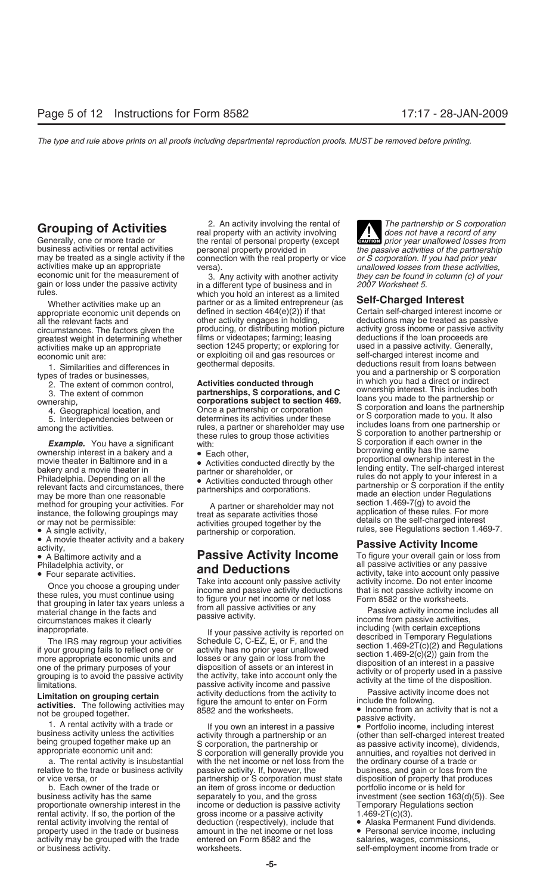economic unit for the measurement of and in a different type of business and in they can be found in column (c) of your gain or loss under the passive activity in a different type of business and in 2007 Worksheet 5.<br>
whic

ownership interest in a bakery and a borrowing entity has the same<br>movie theater in Baltimore and in a borrowing entity has the same proportional ownership interest in the

Once you choose a grouping under<br>these rules, you must continue using<br>that grouping in later tax years unless a<br>material change in the facts and<br>circumstances makes it clearly<br>circumstances makes it clearly<br>circumstances m

relative to the trade or business activity passive activity. If, however, the business, and gain or loss from the or vice versa, or partnership or S corporation must state disposition of property that produces or vice versa, or **partnership or S** corporation must state

activity may be grouped with the trade

**Grouping of Activities**<br>
Generally, one or more trade or the rental of personal property with an activity involving<br>
the partnership or S corporation<br>
business activities or rental activities<br>
business activities or renta business activities or rental activities personal property provided in the passive activities of the partnership<br>may be treated as a single activity if the connection with the real property or vice or S corporation. If you

which you hold an interest as a limited Whether activities make up an partner or as a limited entrepreneur (as **Self-Charged Interest**<br>propriate economic unit depends on defined in section 464(e)(2)) if that Certain self-charged interest i appropriate economic unit depends on defined in section 464(e)(2)) if that Certain self-charged interest income or<br>all the relevant facts and other activity engages in holding, deductions may be treated as passive all the relevant facts and other activity engages in holding, but deductions may be treated as passive activity engages in holding, deductions may be treated as passive activity circumstances. The factors given the produci circumstances. The factors given the producing, or distributing motion picture activity gross income or passive activity greatest weight in determining whether films or videotapes; farming; leasing deductions if the loan proceeds are<br>activities make up an appropriate section 1245 property; or exploring for used in a passive activity. General activities make up an appropriate section 1245 property; or exploring for used in a passive activity. General<br>economic unit are: or exploiting oil and gas resources or self-charged interest income and or exploiting oil and gas resources or self-charged interest income and geothermal deposits.

### extivity,<br>
• A Baltimore activity and a **Passive Activity Income** To figure your overall gain or loss from<br>
Philadelphia activity, or **and Doductions** all passive activities or any passive **and Deductions**  $\overline{\mathbf{a}}$  all passive activities or any passive  $\overline{\mathbf{a}}$

The IRS may regroup your activities<br>
if your passive activity is reported on<br>
if your grouping fails to reflect one or<br>
if your grouping fails to reflect one or<br>
if your grouping fails to reflect one or<br>
if your grouping f activity income and passive activity at the time of the disposition.<br> **Limitation on grouping certain** include the activity to activities. The following activities may figure the amount to enter on Form include the followi

a. The rental activity is insubstantial with the net income or net loss from the the ordinary course of a trade or<br>ative to the trade or business activity passive activity. If, however, the business, and gain or loss from b. Each owner of the trade or an item of gross income or deduction portfolio income or is held for income or deduction is passive activity rental activity. If so, the portion of the gross income or a passive activity  $1.469-2T(c)(3)$ . rental activity involving the rental of deduction (respectively), include that <br>• Alaska Permanent Fund dividends.<br>• Personal service income, including amount in the net income or net loss • Personal service income, including entered on Form 8582 and the salaries, wages, commissions, or business activity. The self-employment income from trade or

**ENTION** prior year unallowed losses from

1. Similarities and differences in geothermal deposits.<br>
types of trades or businesses,<br>
2. The extent of common control,<br>
3. The extent of common control,<br>
2. The extent of common<br>
2. The extent of common<br>
2. The extent o 4. Geographical location, and<br>
5. Interdependencies between or<br>
among the activities.<br>
among the activities.<br>
among the activities.<br>
among the activities.<br>
among the activities.<br>
These rules to group those activities<br>
thes these rules to group those activities and the corporation to another partnership<br>S corporation if each owner in the<br>S corporation if each owner in the same<br>borrowing entity has the same movie theater in Baltimore and in a<br>
bakery and a movie theater in<br>
Philadelphia. Depending on all the<br>
relevant facts and circumstances, there<br>
may be more than one reasonable<br>
may be more than one reasonable<br>
disconducte method for grouping your activities. For a partner or shareholder may not instance, the following groupings may<br>
instance, the following groupings may treat as separate activities those activities are activities or may no

• Four separate activities.<br>Take into account only passive activity activity income. Do not enter income<br>Oneo you shapes a grouning under

activities. The following activities have activity activities in a passive activity.<br>
The following activities had the worksheets.<br>
1. A rental activity with a trade or business activity unless the activities activity thro business activity has the same separately to you, and the gross investment (see section 163(d)(5)). See proportionate ownership interest in the income or deduction is passive activity Temporary Regulations section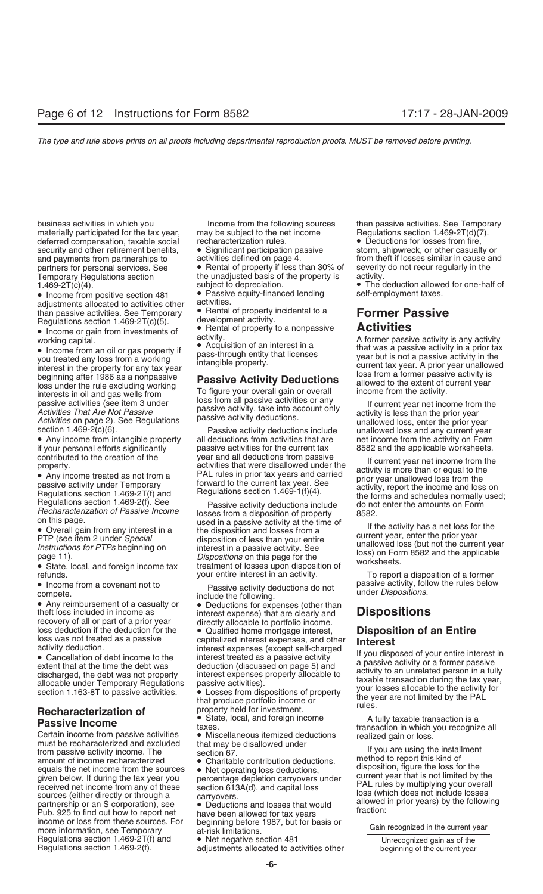business activities in which you Income from the following sources than passive activities. See Temporary materially participated for the tax year, may be subject to the net income Regulations section 1.469-2T(d)(7).<br>deferred compensation, taxable social recharacterization rules. • Deductions for losses from fire, deferred compensation, taxable social recharacterization rules. <br>security and other retirement benefits, <br>or Significant participation passive storm, shipwreck, or other casualty or security and other retirement benefits,  $\bullet$  Significant participation passecurity and payments from partnerships to activities defined on page 4. Temporary Regulations section the unadjusted basis of the property is  $1.469-2T(c)(4)$ .

• Income from positive section 481 • Passive equity-financed lending<br>adjustments allocated to activities other activities. adjustments allocated to activities other activities.<br>than passive activities, See Temporary • Rental of property incidental to a than passive activities. See Temporary • Rental of property incidental to a **Former Passive**

A former passive activity is any activity<br>
• Income from an oil or gas property if<br>
working capital.<br>
the property for any toxis that was a passive activity in a prior tax<br>
you treated any loss from a working<br>
interest i

**Passive Income from passive activities**<br>
Certain income from passive activities<br>
Certain income from passive activities<br>
must be recharacterized and excluded that may be disallowed under<br>
must be recharacterized and exclu Pub. 925 to find out how to report net<br>income or loss from these sources. For beginning before 1987, but for basis or<br>more information, see Temporary at-risk limitations. Regulations section 1.469-2T(f) and • Net negative section 481 Unrecognized gain as of the Regulations section 1.469-2(f).<br>Regulations section 1.469-2(f). adjustments allocated to activities other beginning of the current

partners for personal services. See • Rental of property if less than 30% of severity do not recur regularly in the Temporary Requilarions section

Regulations section 1.469-2T(c)(5). development activity.<br>• Income or gain from investments of  $\bullet$  Rental of property to a nonpassive • Income or gain from investments of **•** Rental of property to a nonpassive **Activities**<br>
working capital. A former passive activity is any activity activity activity.

vection 1.469-2(c)(6). Passive activity deductions include unallowed loss and any current year<br>
■ Any income from intangible property all deductions from activities that are net income from the activity on Form<br>
if your p passive activities for the current tax 8582 and the applicable worksheets.<br>year and all deductions from passive the current voor not income from the

*Regulations section 1.469-2(1).* See Passive activity deductions include do not enter the amounts on Form<br>*Recharacterization of Passive Income* losses from a disposition of property 8582.<br>on this page. on this page.<br>
■<br>
• Overall gain from any interest in a<br>
example the disposition and losses from a<br>
example the disposition and losses from a<br>
FTP (see item 2 under *Special*<br>
the disposition and losses from a<br>
example th

from theft if losses similar in cause and

• The deduction allowed for one-half of self-employment taxes.

contributed to the creation of the vear and all deductions from passive<br>
• Any income treated as not from a<br>
• Any income treated as not from a<br>
passive activity under Temporary<br>
Fegulations section 1.469-2T(f) and<br>
Regul

refunds.<br>
your entire interest in an activity.<br>
Despite activity deductions do not be passive activity, follow the rules below<br>
passive activity, follow the rules below

• Income from a covenant not to the selection of the selection of the selection of a casualty or the metallical to the property of all or property be the selection of the selection of the selection of the coverage interest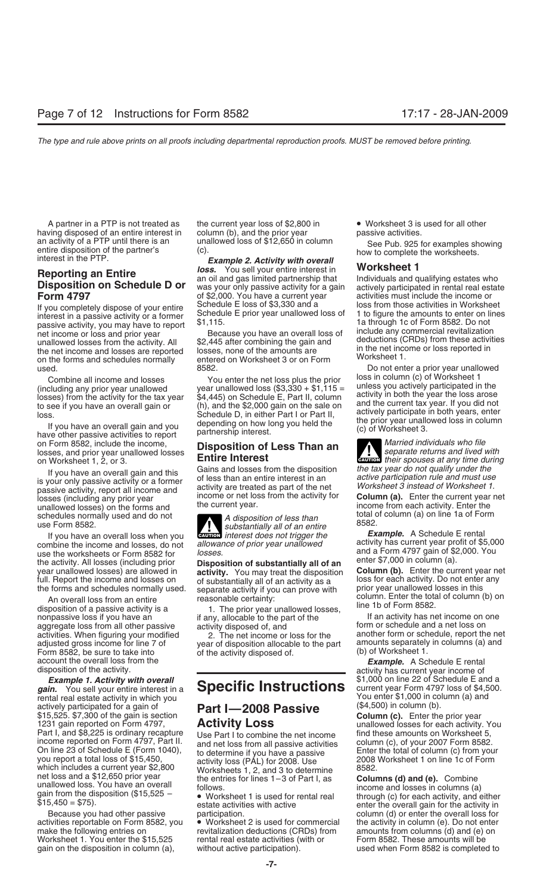having disposed of an entire interest in column (b), and the prior year passive activities.<br>an activity of a PTP until there is an unallowed loss of \$12,650 in column an activity of a PTP until there is an unallowed loss of \$12,650 in column See Pub. 925 for examples showing<br>entire disposition of the partner's (c).<br>interest in the PTP. **Example 2. Activity with overall** bow to complete

net income or loss and prior year<br>
unallowed losses from the activity. All \$2,445 after combining the gain and<br>
the net income and losses are reported losses, none of the amounts are<br>
on the forms and schedules normally en

on Form 8582, include the income, **Disposition of Less Than an** losses, and prior year unallowed losses **Disposition of Less Than an and local separate returns and lived with** on Worksheet 1, 2, or 3. **Entire Interest** on Form Sock, include the income,<br>losses, and prior year unallowed losses<br>on Worksheet 1, 2, or 3. **Entire Interest CAUTION** *their spouses at any time during* 

If you have an overall loss when you<br>combine the income and losses, do not allowance of prior year unallowed<br>use the worksheets or Form 8582 for losses.<br>and a Form 4797 gain of \$2,000. You use the worksheets or Form 8582 for<br>the activity. All losses (including prior **Disposition of substantially all of an**<br>year unallowed losses) are allowed in **activity**. You may treat the disposition **Column (b)**. Enter the year unallowed losses) are allowed in **activity**. You may treat the disposition **Column (b)**. Enter the current year need full. Report the income and losses on of substantially all of an activity as a loss for each activit

An overall loss from an entire mericum column (b) on An overall loss from an entire enter the total on An overall on An overall on An overall on An overall of Form 8582.<br>
If an activity has negative loss if you have an an activities. When figuring your modified 2. The net income or loss for the adjusted gross income for line 7 of vear of disposition allocable to the p Form 8582, be sure to take into of the activity disposed of. account the overall loss from the **Example.** A Schedule E rental disposition of the activity.

*gain.* You sell your entire interest in a **Specific Instructions** current year Form 4797 loss of \$4,5<br>rental real estate activity in which you rental real estate activity in which you  $\overline{Part I}$  2008  $\overline{P}$  actively participated for a gain of  $\overline{Part I}$  2008  $\overline{P}$  and  $\overline{P}$  (\$4,500) in column (b). actively participated for a gain of **Part I—2008 Passive** (\$4,500) in column (b).<br>\$15,525. \$7,300 of the gain is section **Part I—2008 Passive Column (c).** Enter the prior year<br>1231 gain reported on Form 4797, **Activity Los** 1231 gain reported on Form 4797, **ACTIVITY LOSS** unallowed losses for each activity. You Part I, and \$8,225 is ordinary recapture Use Part I to combine the net income find these amounts on Worksheet 5, income reported on F income reported on Form 4797, Part II. and net loss from all passive activities column (c), of your 2007 Form 8582.<br>On line 23 of Schedule E (Form 1040), to determine if you have a passive Enter the total of column (c) fro you report a total loss of \$15,450,<br>which includes a current year \$2,800 Worksheets 1, 2, and 3 to determine 8582.<br>net loss and a \$12,650 prior year the entries for lines 1–3 of Part I, as **Columns (d) and (e).** Combine

activities reportable on Form 8582, you • Worksheet 2 is used for commercial the activity in column (e). Do not enter<br>make the following entries on revitalization deductions (CRDs) from amounts from columns (d) and (e) on Worksheet 1. You enter the  $$15,525$  rental real estate activities (with or gain on the disposition in column (a), without active participation). used when Form 8582 is completed to

A partner in a PTP is not treated as the current year loss of \$2,800 in • Worksheet 3 is used for all other

**Reporting an Entire**<br>**Reporting an Entire delayser Service And Service in the Service of the Canadism Proporting an Entire in Analyour entire interest in Worksheet 1<br>Disposition on Schedule D or was your only passive acti Form 4797** of \$2,000. You have a current year activities must include the income or<br>If you completely dispose of your entire Schedule E loss of \$3,330 and a loss from those activities in Worksheet

Combine all income and losses<br>(including any prior year unallowed year unallowed loss  $(\$3,330 + $1,115 =$ <br>losses) from the activity for the tax year  $\$4,445)$  on Schedule E, Part II, column<br>to see if you have an overall gain loss.<br>
Is the dively participate in both years, enter<br>
If you have an overall gain and you<br>
have other passive activities to report<br>
actively participate in both years, enter<br>
the prior year unallowed loss in column<br>
(c) o

If you have an overall gain and this<br>is your only passive activity or a former<br>passive activity, report all income and<br>losses (including any prior year<br>losses (including any prior year<br>income or net loss from the activity

schedules normally used and do not<br>use Form 8582.<br>If you have an overall loss when you are there is than the substantially all of an entire<br>interest does not trigger the **Example.** A Schedule E rental **Exurcive** interest does not trigger the

revitalization deductions (CRDs) from amounts from columns (d) and (e) on rental real estate activities (with or

If you completely dispose of your entire<br>interest in a passive activity or a former<br>passive activity, you may have to report \$1,115.<br>passive activity, you may have to report \$1,115.

used. Do not enter a prior year unallowed<br>Combine all income and losses and losses and vou enter the net loss plus the prior loss in column (c) of Worksheet 1

losses (including any prior year income or net loss from the activity for **Column (a).** Enter the current year and the current year income from each activity. Enter the unallowed losses) on the forms and the current year.

separate activity if you can prove with prior year unallowed losses in this<br>reasonable certainty: column. Enter the total of column (b) on

if any, allocable to the part of the If an activity has net income on one<br>activity disposed of and If any income on schedule and a net loss on aggregate loss from all other passive activity disposed of, and form or schedule and a net loss on<br>activities. When figuring your modified and a come or loss for the another form or schedule, report the net year of disposition allocable to the part amounts separately in columns (a) and of the activity disposed of  $(5)$  of Worksheet 1.

activity has current year income of *Example 1. Activity with overall* \$1,000 on line 22 of Schedule E and a

net loss and a \$12,650 prior year<br>
unallowed loss. You have an overall<br>
gain from the disposition (\$15,525 –<br>
\$15,450 = \$75).<br>
\$15,450 = \$75).<br>
State activities with active<br>  $\frac{1}{2}$  and (e). Combine<br>  $\frac{1}{2}$  columns (d Because you had other passive participation. column (d) or enter the overall loss for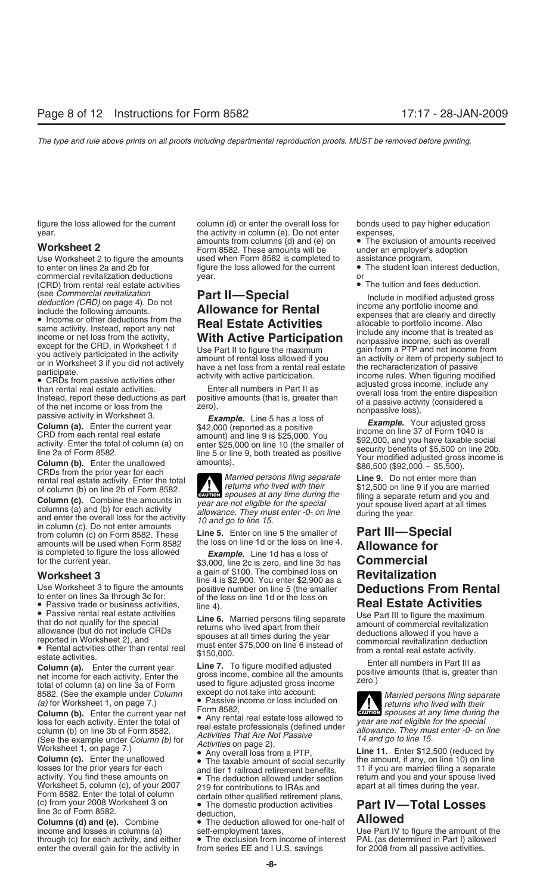Use Worksheet 2 to figure the amounts used when Form 8582 is completed to assistance program,<br>to enter on lines 2a and 2b for figure the loss allowed for the current • The student loan interest deduction, to enter on lines 2a and 2b for figure the loss allowed for the current commercial revitalization deductions vear. commercial revitalization deductions year. or (CRD) from rental real estate activities • The tuition and fees deduction.

The rental real estate activity. Enter the total **Married persons filing separate Line 9.** Do not enter more than of column (b) on line 2b of Form 8582.

**Column (c).** Combine the amounts in year are not eligible for the special<br>columns (a) and (b) for each activity<br>allowance. They must enter -0- on line during the year.<br>in column (c). Do not enter amounts from column (c) on Form 8582. These **Line 5.** Enter on line 5 the smaller of **Part III—Special** amounts will be used when Form 8582 the loss on line 1d or the loss on line 4.<br>
is completed to figure the loss allowed *Example.* Line 1d has a loss of<br>
for the current year.<br> **Allowance for**<br> **Example.** Line 1d has a los

**Column (b).** Enter the current year net  $\bullet$  Any rental real estate loss allowed to<br>loss for each activity. Enter the total of<br>column (b) on line 3b of Form 8582.<br>(See the example under *Column (b)* for<br>(See the example

losses for the prior years for each and tier 1 railroad retirement benefits, <sup>11</sup> if you are married filing a separate<br>activity. You find these amounts on **o** The deduction allowed under section return and you and your spo Worksheet 5, column (c), of your 2007 219 for contributions to IRAs and Form 8582. Enter the total of column certain other qualified retirement. Form 8582. Enter the total of column certain other qualified retirement plans,<br>
(c) from your 2008 Worksheet 3 on • The domestic production activities **Part IV—Total Losses**<br>
line 3c of Form 8582. deduction,

enter the overall gain for the activity in

figure the loss allowed for the current column (d) or enter the overall loss for bonds used to pay higher education year.<br>The activity in column (e). Do not enter expenses,<br>the exclusion of amounts received amounts from columns (d) and (e) on  $\bullet$  The exclusion of amounts received amounts from columns (d) and (e) on • The exclusion of amounts received amounts from columns (d) and (e) on<br>**Worksheet 2** to figure the amounts used when Form 8582 is completed to assistance program,

rental real estate activity. Enter the total returns who lived with their \$12,500 on line 9 if you are married<br>of column (c) Combine the amounts in the spouses at any time during the filing a separate return and you and

\$3,000, line 2c is zero, and line 3d has<br>a gain of \$100. The combined loss on

Worksheet 3<br>
Use Worksheet 3 to figure the amounts<br>
to enter on lines 3a through 3c for:<br>
to enter on lines 3a through 3c for:<br>
to enter on lines 3a through 3c for:<br>
The saisue trade or business activities<br> **Passive renta** 

line 3c of Form 8582.<br> **Columns (d) and (e).** Combine • The deduction allowed for one-half of **Allowed**<br>
income and losses in columns (a) • self-employment taxes, Use Part IV to

• The exclusion from income of interest PAL (as determined in Part I) allow<br>from series EE and I U.S. savings for 2008 from all passive activities.

(see Commercial revitatization<br>
include in modified adjusted gross<br>
include the following amounts.<br> **Example the delectric starts are to the conduct the delectric starts are the starts are delectric starts and the start a** 

8582. (See the example under *Column* except do not take into account:<br>
(a) for Worksheet 1, on page 7.) <br> **Column (b).** Enter the current year net **column 3582**,<br> **Column (b).** Enter the current year net **column is a set** 

**Column (c).** Enter the unallowed • The taxable amount of social security the amount, if any, on line 10) on line losses for the prior years for each and tier 1 railroad retirement benefits. 11 if you are married filing a return and you and your spouse lived<br>apart at all times during the year.

income and losses in columns (a) self-employment taxes, Use Part IV to figure the amount of the through (c) for each activity, and either  $\bullet$  The exclusion from income of interest PAL (as determined in Part I) allowed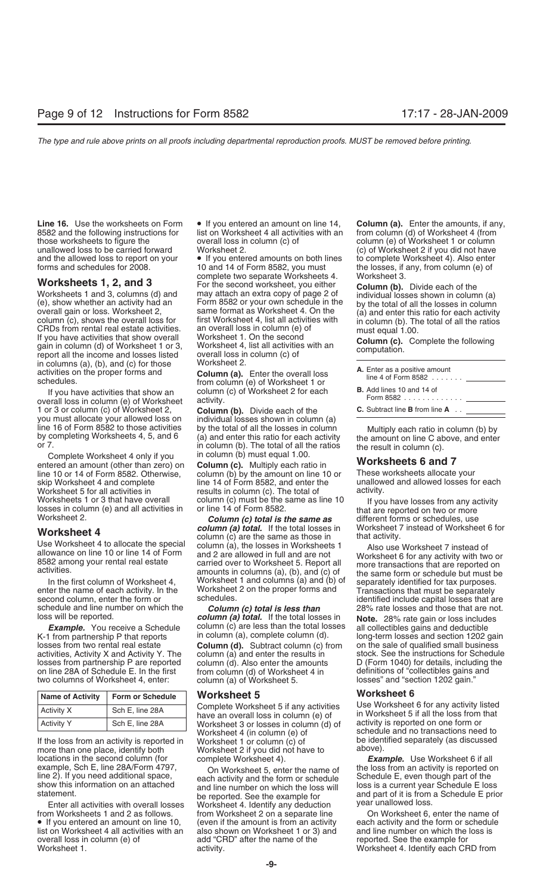those worksheets to figure the overall loss in column (c) of column (e) of Worksheet 1 or column<br>unallowed loss to be carried forward Worksheet 2. unallowed loss to be carried forward Worksheet 2. (c) of Worksheet 2 if you did not have<br>and the allowed loss to report on your  $\bullet$  If you entered amounts on both lines to complete Worksheet 4). Also enter

in columns (a), (b), and (c) for those Worksheet 2.<br>activities on the proper forms and **Column (a).** 

If you have activities that show an column<br>overall loss in column (e) of Worksheet activity. 1 or 3 or column (c) of Worksheet 2, **Column (b).** Divide each of the **C.** Subtract line **B** from line **A** . . you must allocate your allowed loss on individual losses shown in column (a) line 16 of Form 8582 to those activities by the total of all the losses in column

Complete Worksheet 4 only if you in column (b) must equal 1.00.<br>tered an amount (other than zero) on **Column (c).** Multiply each ratio in entered an amount (other than zero) on **Column (c).** Multiply each ratio in **Worksheets 6 and 7** line 10 or 14 of Form 8582. Otherwise, column (b) by the amount on line 10 or These worksheets allocate your<br>skip Worksheet 4 and complete sach ine 14 of Form 8582, and enter the sunallowed and allowed losses for each skip Worksheet 4 and complete line 14 of Form 8582, and enter the Worksheet 5 for all activities in results in column (c). The total of activity.

enter the name of each activity. In the Worksheet 2 on the proper forms and Transactions that must be separately<br>second column, enter the form or schedules. example of the that a schedules include capital losses that a

two columns of Worksheet 4, enter:

| <b>Name of Activity</b> | <b>Form or Schedule</b> |  |
|-------------------------|-------------------------|--|
| <b>Activity X</b>       | Sch E, line 28A         |  |
| <b>Activity Y</b>       | Sch E, line 28A         |  |

If the loss from an activity is reported in Worksheet 1 or column (c) of be identified be identify (as discussed to be identify hoth where separately (as discussed to be identify hoth where separately (as discussed to be more than one place, identify both Worksheet 2 if you did not have to locations in the second column (for absomplete Worksheet 4). locations in the second column (for complete Worksheet 4).<br>
example, Sch E, line 28A/Form 4797, Con Worksheet 5, enter the name of the loss from an activity is reported o example, Sch E, line 28A/Form 4797, Con Worksheet 5, enter the name of the loss from an activity is reported on line 2). If you need additional space, each activity and the form or schedule Schedule E, even though part of

from Worksheets 1 and 2 as follows. from Worksheet 2 on a separate line On Worksheet 6, enter the name of • If you entered an amount on line 10, (even if the amount is from an activity each activity and the form or schedule list on Worksheet 4 all activities with an also shown on Worksheet 1 or 3) and and line number on which the overall loss in column (e) of add "CRD" after the name of the reported. See the example for overall loss in column (e) of add "CRD" after the name of the

Line 16. Use the worksheets on Form  $\bullet$  If you entered an amount on line 14, **Column (a).** Enter the amounts, if any, 8582 and the following instructions for list on Worksheet 4 all activities with an from column (d) of W 8582 and the following instructions for list on Worksheet 4 all activities with an from column (d) of Worksheet 4 (from

and the allowed loss to report on your  $\bullet$  If you entered amounts on both lines to complete Worksheet 4). Also enter forms and schedules for 2008. 10 and 14 of Form 8582, you must the losses, if any, from column (e) of 10 and 14 of Form 8582, you must the losses, if any, from column (e) of complete two separate Worksheets 4. Worksheet 3. **Worksheets 1, 2, and 3** For the second worksheet, you either **Column (b).** Divide each of the Worksheets 1 and 3, columns (d) and may attach an extra copy of page 2 of individual losses shown in column Worksheets 1 and 3, columns (d) and may attach an extra copy of page 2 of individual losses shown in column (a)<br>
(e), show whether an activity had an Form 8582 or your own schedule in the by the total of all the losses in

A. Enter the overall loss<br>schedules.<br>**A.** Enter the overall loss<br>schedules.<br>**A.** Enter the overall loss<br>from column (e) of Worksheet 1 or<br>of Form  $\alpha$ , column (c) of Worksheet 2 for each

line 16 of Form 8582 to those activities by the total of all the losses in column Multiply each ratio in column<br>by completing Worksheets 4, 5, and 6 (a) and enter this ratio for each activity the amount on line C above, an

**Worksheet 4**<br>
Use Worksheet 4 to allocate the special<br>
allowance on line 10 or line 14 of Form<br>
and 2 are allowed in full and are not<br>
allowance on line 10 or line 14 of Form<br>
and 2 are allowed in full and are not<br>
ans (a amounts in columns (a), (b), and (c) of the same form or schedule but must be<br>In the first column of Worksheet 4, Worksheet 1 and columns (a) and (b) of separately identified for tax purposes.<br>enter the name of each activi

schedule and line number on which the **Column (c) total is less than** 28% rate losses and those that are not.<br> **Column (a) total.** If the total losses in **Note** 28% rate gain or loss includes *column (a) total.* If the total losses in **Note.** 28% rate gain or loss includes column (c) are less than the total losses all collectibles gains and deductible **Example.** You receive a Schedule column (c) are less than the total losses all collectibles gains and deductible<br>K-1 from partnership P that reports in column (a), complete column (d). In long-term losses and section 1202 **Column (d).** Subtract column (c) from on the sale of qualified small business column (a) and enter the results in stock. See the instructions for Schedule activities, Activity X and Activity Y. The column (a) and enter the results in stock. See the instructions for Schedule<br>losses from partnership P are reported column (d). Also enter the amounts D (Form 1040) for details, i losses from partnership P are reported column (d). Also enter the amounts D (Form 1040) for details, including<br>
on line 28A of Schedule E. In the first from column (d) of Worksheet 4 in definitions of "collectibles gains a on line 28A of Schedule E. In the first from column (d) of Worksheet 4 in definitions of "collectibles gains a<br>two columns of Worksheet 4, enter: column (a) of Worksheet 5. (a) losses" and "section 1202 gain."

Complete Worksheet 5 if any activities Use Worksheet 6 for any activity listed<br>have an overall loss in column (e) of in Worksheet 5 if all the loss from that<br>Worksheet 3 or losses in column (d) of in activity is reported o Worksheet 3 or losses in column (d) of<br>Worksheet 4 (in column (e) of Worksheet 4 (in column (e) of schedule and no transactions need to<br>Worksheet 1 or column (c) of sume the identified separately (as discussed

itement.<br>Enter all activities with overall losses be reported. See the example for the and part of it is from a Enter a Worksheet 4. Identify any deduction Worksheet 1. **Activity** activity. **Worksheet 4. Identify each CRD from** 

| A. Enter as a positive amount<br>line 4 of Form 8582 $\ldots$ |  |
|---------------------------------------------------------------|--|
| <b>B.</b> Add lines 10 and 14 of<br>Form 8582 <u>_______</u>  |  |
| Cubtroot line D from line A                                   |  |

Worksheets 1 or 3 that have overall column (c) must be the same as line 10 fyou have losses from any activity<br>losses in column (e) and all activities in or line 14 of Form 8582.<br>Worksheet 2. **Column (c) total is the same a** 

identified include capital losses that are

**Worksheet 5**<br>Complete Worksheet 5 if any activities Use Worksheet 6 for any activity listed

line 2). If you need additional space,<br>show this information on an attached<br>show this information on an attached<br>statement.<br>the reported See the example for and part of it is from a Schedule E loss<br>statement.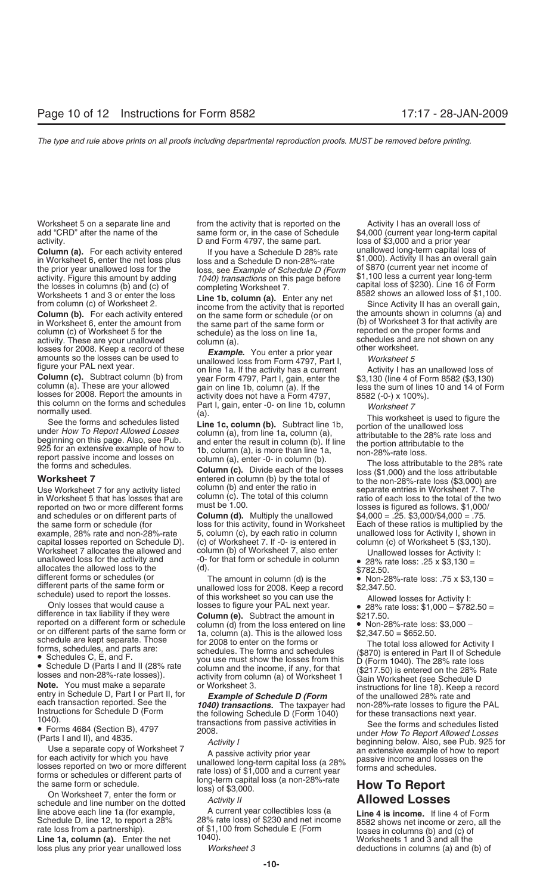the losses in columns (b) and (c) of completing Worksheet 7. capital loss of \$230). Line 16 of Form<br>Worksheets 1 and 3 or enter the loss Line 1b column (a) Enter any net 8582 shows an allowed loss of \$1,100.

Worksheets 1 and 3 or enter the loss<br>
from column (c) of Worksheet 2.<br> **Column (b).** For each activity entered<br>
income from the activity that is reported<br>
income from the activity that is reported<br>
income from the same fo

losses for 2008. Report the amounts in activity does not have a Form 4797,  $\frac{8582 \div 0.0}$  x 100%).<br>
this column on the forms and schedules listed<br>
See the forms and schedules listed<br>
See the forms and schedules listed<br>

in Worksheet 5 that has losses that are column (c). The total of this column ratio of each loss to the total of the two or more different forms must be 1.00. reported on two or more different forms<br>and schedules or on different parts of and schedules or on different parts of **Column (d).** Multiply the unallowed  $$4,000 = .25. $3,000/$4,000 = .75.$  the same form or schedule (for loss for this activity, found in Worksheet Each of these ratios is multiplied by capital losses reported on Schedule D). (c) of Worksheet 7. If -0- is entered in Worksheet 7 allocates the allowed and column (b) of Worksheet 7, also enter

On Worksheet 7, enter the form or<br>
schedule and line number on the dotted *Activity II* **Allowed Losses**<br>
line above each line 1a (for example, A current year collectibles loss (a Line 4 is income. If line line above each line 1a (for example, A current year collectibles loss (a **Line 4 is income.** If line 4 of Form Schedule D, line 12, to report a 28% 28% rate loss) of \$230 and net income a sagge shows net income or zero, a

**Line 1a, column (a).** Enter the net loss plus any prior year unallowed loss *Worksheet 3* deductions in columns (a) and (b) of

Worksheet 5 on a separate line and from the activity that is reported on the Activity I has an overall loss of add "CRD" after the name of the same form or, in the case of Schedule \$4,000 (current year long-term capital activity.<br>D and Form 4797, the same part. loss of \$3,000 and a prior year

**Column (a).** For each activity entered<br>in Worksheet 6, enter the net loss plus<br>the prior year unallowed loss for the loss, see Example of Schedule D (Form of \$870 (current year net income of<br>the prior year unallowed loss the prior year unallowed loss for the loss, see Example of Schedule D (Form of \$870 (current year net income of activity. Figure this amount by adding *1040) transactions* on this page before \$1,100 less a current year lon

**WOTKSHEET 7** entered in column (b) by the total of the non-28%-rate loss (\$3,000) are<br>Use Worksheet 7 for any activity listed column (b) and enter the ratio in separate entries in Worksheet 7. The<br>in Worksheet 5 that has

the same form or schedule (for loss for this activity, found in Worksheet Each of these ratios is multiplied by the<br>example, 28% rate and non-28%-rate 5, column (c), by each ratio in column unallowed loss for Activity I, s 5, column (c), by each ratio in column unallowed loss for Activity I, shown i<br>(c) of Worksheet 7. If -0- is entered in column (c) of Worksheet 5 (\$3,130).

Worksheet 7 allocates the allowed and column (b) of Worksheet 7, also enter<br>
inclusion column and column of the column of the column and column and column and the state lably of the state and lowed loss to the simulation

Schedule D, line 12, to report a 28% 28% rate loss) of \$230 and net income 8582 shows net income or zero, all the rate loss from a partnership). of \$1,100 from Schedule E (Form losses in columns (b) and (c) of **Line 1a, co** 

activity.<br>
D and Form 4797, the same part. Instants in the prior year<br>
Column (a) For each activity entered if you have a Schadule D 28% rate unallowed long-term capital loss of

- 
- 
- 
- 
- 
-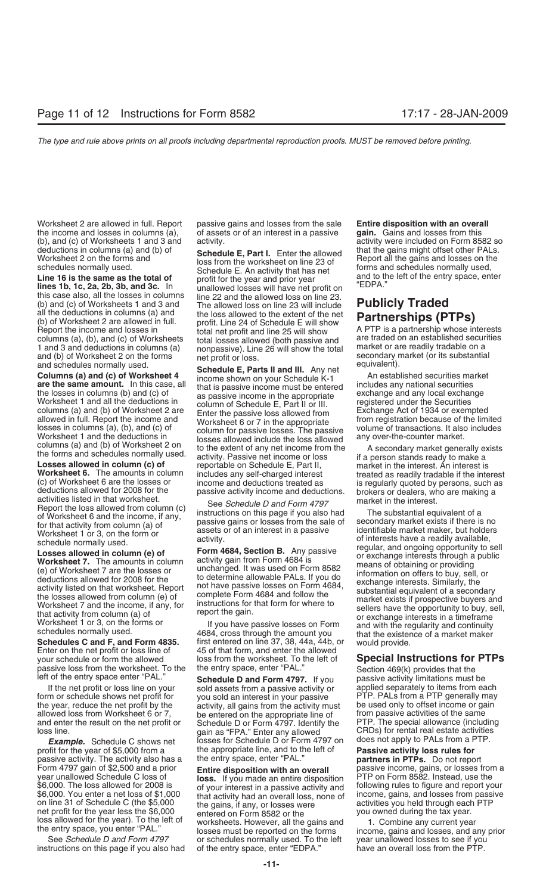Worksheet 2 are allowed in full. Report passive gains and losses from the sale **Entire disposition with an overall** the income and losses in columns (a), of assets or of an interest in a passive **gain.** Gains and losses from this (b), and (c) of Worksheets 1 and 3 and activity.<br>
deductions in columns (a) and (b) of **Cohodule E. Port L.** Enter the ellowed that the gains might offset other PALs.

(b) and (c) of Worksheet 2 and 3 and The allowed loss on line 22 will include<br>
(b) and (c) of Worksheets 1 and 3 and The allowed loss on line 23 will include<br>
(b) and (c) of Worksheets 2 are allowed in full. Include<br>
(b) a

**Schedules C and F, and Form 4835.** first entered on line 37, 38, 44a, 44b, or would provide.<br>
Enter on the net profit or loss line of 45 of that form, and enter the allowed vour schedule or form the allowed loss from the your schedule or form the allowed loss from the worksheet. To the left of **Special Instructions for PTPs**

and enter the result on the net profit or Schedule D or Form 4797. Identify the loss line.

profit for the year of \$5,000 from a the appropriate line, and to the left of **Passive activity loss rules for**<br>passive activity. The activity also has a the entry space, enter "PAL." **partners in PTPs.** Do not repo passive activity. The activity also has a the entry space, enter "PAL." **partners in PTPs.** Do not report net profit for the year less the \$6,000 entered on Form 8582 or the

deductions in columns (a) and (b) of<br>
Worksheet 2 on the forms and<br>
schedule E, Part I. Enter the allowed<br>
schedule E. An activity that has net<br>
Line 16 is the same as the total of<br>
lines 1b, 1c, 2a, 2b, 3b, and 3c. In<br>
th

columns (a) and (b) of worksheet 2 are Enter the passive loss allowed from a second from exempted allowed in full. Report the income and Worksheet 6 or 7 in the appropriate from registration because of the limited losses i losses in columns (a), (b), and (c) of<br>
Worksheet 1 and the deductions in<br>
columns (a) and (b) of Worksheet 2 on<br>
the forms and schedules normally used.<br>
Losses allowed in column (c) of<br>
Losses allowed in column (c) of<br>
Lo

If the net profit or loss line on your sold assets from a passive activity or applied separately to items from each form or schedule shows net profit for you sold an interest in your passive PTP. PALs from a PTP generally the year, reduce the net profit by the activity, all gains from the activity must be used only to offset income or gain<br>allowed loss from Worksheet 6 or 7, be entered on the appropriate line of from passive activities of t allowed loss from Worksheet 6 or 7, be entered on the appropriate line of from passive activities of the same<br>and enter the result on the net profit or Schedule D or Form 4797, Identify the PTP. The special allowance (incl **Example.** Schedule C shows net losses for Schedule D or Form 4797 on

year unallowed Schedule C loss of **loss.** If you made an entire disposition year of voluments of voluments and the loss allowed for 2008 is of your interest in a passive activity and following rules to figure and report your interest in a passive activity and following rules to figure and report your that activity had an overall loss none of income, gains, and \$6,000. You enter a net loss of \$1,000 that activity had an overall loss, none of on line 31 of Schedule C (the \$5,000 the gains, if any, or losses were loss allowed for the year). To the left of worksheets. However, all the gains and 1. Combine any current year the entry space, you enter "PAL." losses must be reported on the forms income, gains and losses, and any prior S or schedules normally used. To the left instructions on this page if you also had of the entry space, enter "EDPA." have an overall loss from the PTP.

Worksheet 6. The amounts in column including any self-charged interests in the buses and the set of the same of column (c) of Worksheet 6. The amount of considerative interest of the passive activity income and deductions

passive loss from the worksheet. To the the entry space, enter "PAL." Section 469(k) provides that the left of the entry space enter "PAL." **Schedule D and Form 4797.** If you passive activity limitations must be lif the ne PTP. PALs from a PTP generally may CRDs) for rental real estate activities<br>does not apply to PALs from a PTP.

Form 4797 gain of \$2,500 and a prior **Entire disposition with an overall** passive income, gains, or losses from a vear unallowed Schedule C loss of **Entire disposition with an overall** passive income, gains, or losses from activities you held through each PTP<br>you owned during the tax year.